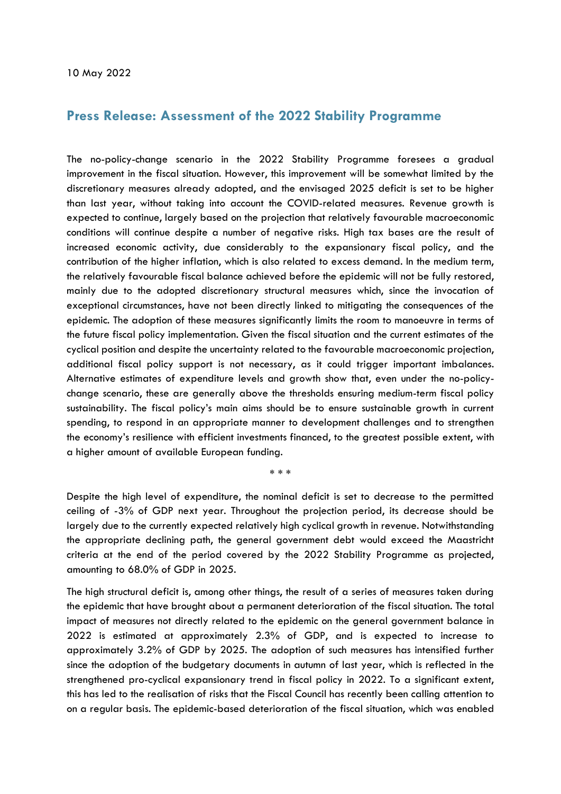## **Press Release: Assessment of the 2022 Stability Programme**

The no-policy-change scenario in the 2022 Stability Programme foresees a gradual improvement in the fiscal situation. However, this improvement will be somewhat limited by the discretionary measures already adopted, and the envisaged 2025 deficit is set to be higher than last year, without taking into account the COVID-related measures. Revenue growth is expected to continue, largely based on the projection that relatively favourable macroeconomic conditions will continue despite a number of negative risks. High tax bases are the result of increased economic activity, due considerably to the expansionary fiscal policy, and the contribution of the higher inflation, which is also related to excess demand. In the medium term, the relatively favourable fiscal balance achieved before the epidemic will not be fully restored, mainly due to the adopted discretionary structural measures which, since the invocation of exceptional circumstances, have not been directly linked to mitigating the consequences of the epidemic. The adoption of these measures significantly limits the room to manoeuvre in terms of the future fiscal policy implementation. Given the fiscal situation and the current estimates of the cyclical position and despite the uncertainty related to the favourable macroeconomic projection, additional fiscal policy support is not necessary, as it could trigger important imbalances. Alternative estimates of expenditure levels and growth show that, even under the no-policychange scenario, these are generally above the thresholds ensuring medium-term fiscal policy sustainability. The fiscal policy's main aims should be to ensure sustainable growth in current spending, to respond in an appropriate manner to development challenges and to strengthen the economy's resilience with efficient investments financed, to the greatest possible extent, with a higher amount of available European funding.

\* \* \*

Despite the high level of expenditure, the nominal deficit is set to decrease to the permitted ceiling of -3% of GDP next year. Throughout the projection period, its decrease should be largely due to the currently expected relatively high cyclical growth in revenue. Notwithstanding the appropriate declining path, the general government debt would exceed the Maastricht criteria at the end of the period covered by the 2022 Stability Programme as projected, amounting to 68.0% of GDP in 2025.

The high structural deficit is, among other things, the result of a series of measures taken during the epidemic that have brought about a permanent deterioration of the fiscal situation. The total impact of measures not directly related to the epidemic on the general government balance in 2022 is estimated at approximately 2.3% of GDP, and is expected to increase to approximately 3.2% of GDP by 2025. The adoption of such measures has intensified further since the adoption of the budgetary documents in autumn of last year, which is reflected in the strengthened pro-cyclical expansionary trend in fiscal policy in 2022. To a significant extent, this has led to the realisation of risks that the Fiscal Council has recently been calling attention to on a regular basis. The epidemic-based deterioration of the fiscal situation, which was enabled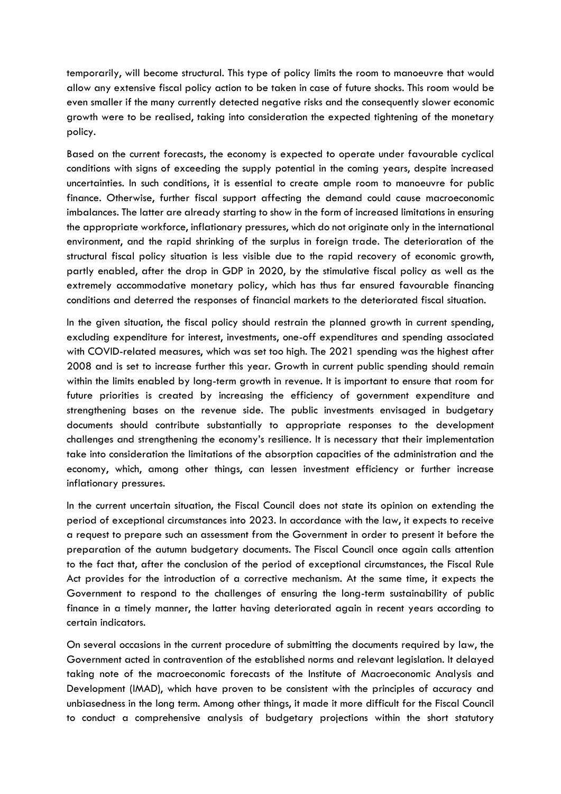temporarily, will become structural. This type of policy limits the room to manoeuvre that would allow any extensive fiscal policy action to be taken in case of future shocks. This room would be even smaller if the many currently detected negative risks and the consequently slower economic growth were to be realised, taking into consideration the expected tightening of the monetary policy.

Based on the current forecasts, the economy is expected to operate under favourable cyclical conditions with signs of exceeding the supply potential in the coming years, despite increased uncertainties. In such conditions, it is essential to create ample room to manoeuvre for public finance. Otherwise, further fiscal support affecting the demand could cause macroeconomic imbalances. The latter are already starting to show in the form of increased limitations in ensuring the appropriate workforce, inflationary pressures, which do not originate only in the international environment, and the rapid shrinking of the surplus in foreign trade. The deterioration of the structural fiscal policy situation is less visible due to the rapid recovery of economic growth, partly enabled, after the drop in GDP in 2020, by the stimulative fiscal policy as well as the extremely accommodative monetary policy, which has thus far ensured favourable financing conditions and deterred the responses of financial markets to the deteriorated fiscal situation.

In the given situation, the fiscal policy should restrain the planned growth in current spending, excluding expenditure for interest, investments, one-off expenditures and spending associated with COVID-related measures, which was set too high. The 2021 spending was the highest after 2008 and is set to increase further this year. Growth in current public spending should remain within the limits enabled by long-term growth in revenue. It is important to ensure that room for future priorities is created by increasing the efficiency of government expenditure and strengthening bases on the revenue side. The public investments envisaged in budgetary documents should contribute substantially to appropriate responses to the development challenges and strengthening the economy's resilience. It is necessary that their implementation take into consideration the limitations of the absorption capacities of the administration and the economy, which, among other things, can lessen investment efficiency or further increase inflationary pressures.

In the current uncertain situation, the Fiscal Council does not state its opinion on extending the period of exceptional circumstances into 2023. In accordance with the law, it expects to receive a request to prepare such an assessment from the Government in order to present it before the preparation of the autumn budgetary documents. The Fiscal Council once again calls attention to the fact that, after the conclusion of the period of exceptional circumstances, the Fiscal Rule Act provides for the introduction of a corrective mechanism. At the same time, it expects the Government to respond to the challenges of ensuring the long-term sustainability of public finance in a timely manner, the latter having deteriorated again in recent years according to certain indicators.

On several occasions in the current procedure of submitting the documents required by law, the Government acted in contravention of the established norms and relevant legislation. It delayed taking note of the macroeconomic forecasts of the Institute of Macroeconomic Analysis and Development (IMAD), which have proven to be consistent with the principles of accuracy and unbiasedness in the long term. Among other things, it made it more difficult for the Fiscal Council to conduct a comprehensive analysis of budgetary projections within the short statutory